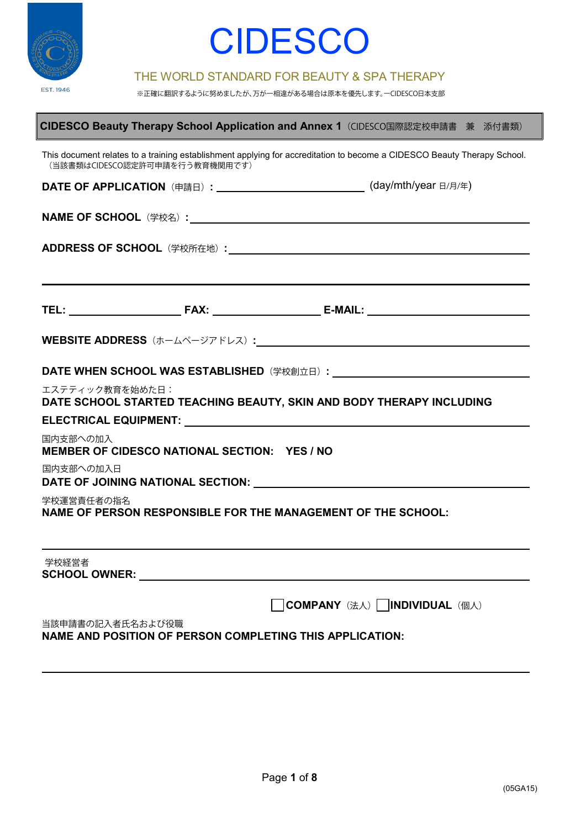

 $\mathbf{r}$ 

## **CIDESCO**

#### THE WORLD STANDARD FOR BEAUTY & SPA THERAPY

※正確に翻訳するように努めましたが、万が一相違がある場合は原本を優先します。ーCIDESCO日本支部

| CIDESCO Beauty Therapy School Application and Annex 1 (CIDESCO国際認定校申請書 兼 添付書類)                                                                                                                                                          |  |  |  |  |
|-----------------------------------------------------------------------------------------------------------------------------------------------------------------------------------------------------------------------------------------|--|--|--|--|
| This document relates to a training establishment applying for accreditation to become a CIDESCO Beauty Therapy School.<br>(当該書類はCIDESCO認定許可申請を行う教育機関用です)                                                                               |  |  |  |  |
| DATE OF APPLICATION (申請日): __________________________(day/mth/year 日/月/年)                                                                                                                                                               |  |  |  |  |
|                                                                                                                                                                                                                                         |  |  |  |  |
|                                                                                                                                                                                                                                         |  |  |  |  |
|                                                                                                                                                                                                                                         |  |  |  |  |
|                                                                                                                                                                                                                                         |  |  |  |  |
|                                                                                                                                                                                                                                         |  |  |  |  |
| <b>WEBSITE ADDRESS</b> (ホームページアドレス) : <u>WEBSITE ADDRESS</u>                                                                                                                                                                            |  |  |  |  |
|                                                                                                                                                                                                                                         |  |  |  |  |
|                                                                                                                                                                                                                                         |  |  |  |  |
| エステティック教育を始めた日:<br>DATE SCHOOL STARTED TEACHING BEAUTY, SKIN AND BODY THERAPY INCLUDING                                                                                                                                                 |  |  |  |  |
| ELECTRICAL EQUIPMENT: University of the contract of the contract of the contract of the contract of the contract of the contract of the contract of the contract of the contract of the contract of the contract of the contra          |  |  |  |  |
| 国内支部への加入<br>MEMBER OF CIDESCO NATIONAL SECTION: YES / NO                                                                                                                                                                                |  |  |  |  |
| 国内支部への加入日                                                                                                                                                                                                                               |  |  |  |  |
| 学校運営責任者の指名<br>NAME OF PERSON RESPONSIBLE FOR THE MANAGEMENT OF THE SCHOOL:                                                                                                                                                              |  |  |  |  |
|                                                                                                                                                                                                                                         |  |  |  |  |
|                                                                                                                                                                                                                                         |  |  |  |  |
| 学校経営者<br>SCHOOL OWNER: And the contract of the contract of the contract of the contract of the contract of the contract of the contract of the contract of the contract of the contract of the contract of the contract of the contract |  |  |  |  |
| <b>COMPANY</b> (法人)    INDIVIDUAL (個人)                                                                                                                                                                                                  |  |  |  |  |
| 当該申請書の記入者氏名および役職                                                                                                                                                                                                                        |  |  |  |  |
| NAME AND POSITION OF PERSON COMPLETING THIS APPLICATION:                                                                                                                                                                                |  |  |  |  |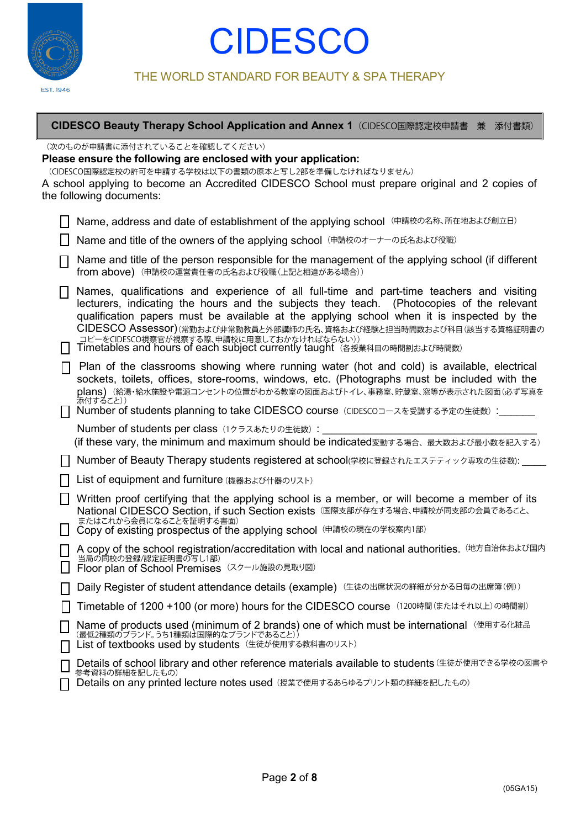

#### THE WORLD STANDARD FOR BEAUTY & SPA THERAPY

#### **CIDESCO Beauty Therapy School Application and Annex 1**(CIDESCO国際認定校申請書 兼 添付書類)

(次のものが申請書に添付されていることを確認してください)

**Please ensure the following are enclosed with your application:**

(CIDESCO国際認定校の許可を申請する学校は以下の書類の原本と写し2部を準備しなければなりません)

A school applying to become an Accredited CIDESCO School must prepare original and 2 copies of the following documents:

Name and title of the owners of the applying school (申請校のオーナーの氏名および役職)

| $\Box$ Name and title of the person responsible for the management of the applying school (if different |  |
|---------------------------------------------------------------------------------------------------------|--|
| <b>■ from above)</b> (申請校の運営責任者の氏名および役職(上記と相違がある場合))                                                    |  |

Names, qualifications and experience of all full-time and part-time teachers and visiting lecturers, indicating the hours and the subjects they teach. (Photocopies of the relevant qualification papers must be available at the applying school when it is inspected by the CIDESCO Assessor) (常勤および非常勤教員と外部講師の氏名、資格および経験と担当時間数および科目(該当する資格証明書の コピーをCIDESCO視察官が視察する際、申請校に用意しておかなければならない))

Timetables and hours of each subject currently taught (各授業科目の時間割および時間数)

| Plan of the classrooms showing where running water (hot and cold) is available, electrical   |
|----------------------------------------------------------------------------------------------|
| sockets, toilets, offices, store-rooms, windows, etc. (Photographs must be included with the |
| plans) (給湯·給水施設や電源コンセントの位置がわかる教室の図面およびトイレ、事務室、貯蔵室、窓等が表示された図面(必ず写真を                           |
| 添付すること))                                                                                     |

│ │ Number of students planning to take CIDESCO course(CIDESCOコースを受講する予定の生徒数):\_

Number of students per class (1クラスあたりの生徒数):

(if these vary, the minimum and maximum should be indicated変動する場合、最大数および最小数を記入する)

| | Number of Beauty Therapy students registered at school(学校に登録されたエステティック専攻の生徒数): \_\_\_\_\_\_\_\_\_\_\_\_\_\_\_\_

List of equipment and furniture (機器および什器のリスト)

| Written proof certifying that the applying school is a member, or will become a member of its |
|-----------------------------------------------------------------------------------------------|
| National CIDESCO Section, if such Section exists (国際支部が存在する場合、申請校が同支部の会員であること、                |
| - またはこれから会員になることを証明する書面)                                                                      |

| □ Copy of existing prospectus of the applying school (申請校の現在の学校案内1部) |  |
|----------------------------------------------------------------------|--|
|                                                                      |  |
|                                                                      |  |
|                                                                      |  |
|                                                                      |  |

| A copy of the school registration/accreditation with local and national authorities. (地方自治体および国内    |  |
|-----------------------------------------------------------------------------------------------------|--|
| 当局の同校の登録/認定証明書の写し1部)                                                                                |  |
| ▎┍ <sub>゚</sub> ゚゠゠゠゠ヿ゠゠゠゚゚゙゙゙゙゙゙゙゚゙゙゚゚゙゙゙゚゚゚゚゚゚゚゚゚゠ゖ゠゠ヿヮ゠゠゠゠゠゠゠゠゚ヺゟ゠ゖ <del>ゟ</del> ゠゙゚ゕゟヺゕゖ゙゙゙゙゙ゕゕ |  |

当局の同校の登録/認定証明書の写し1部)<br>Floor plan of School Premises (スクール施設の見取り図)

Timetable of 1200 +100 (or more) hours for the CIDESCO course (1200時間(またはそれ以上)の時間割)

Name of products used (minimum of 2 brands) one of which must be international List of textbooks used by students (使用する化粧品 (最低2種類のブランド。うち1種類は国際的なブランドであること)) (生徒が使用する教科書のリスト)

| □ Details of school library and other reference materials available to students (生徒が使用できる学校の図書や<br>┗┛ 参考資料の詳細を記したもの) |
|----------------------------------------------------------------------------------------------------------------------|

Details on any printed lecture notes used (授業で使用するあらゆるプリント類の詳細を記したもの)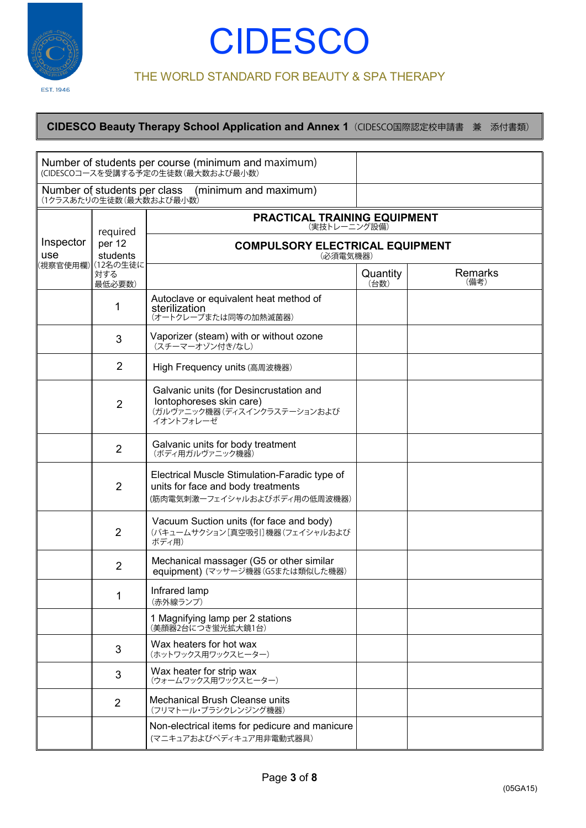

#### THE WORLD STANDARD FOR BEAUTY & SPA THERAPY

|                  |                                                         | Number of students per course (minimum and maximum)<br>(CIDESCOコースを受講する予定の生徒数(最大数および最小数)                            |                  |                        |
|------------------|---------------------------------------------------------|---------------------------------------------------------------------------------------------------------------------|------------------|------------------------|
|                  | Number of students per class<br>(1クラスあたりの生徒数(最大数および最小数) | (minimum and maximum)                                                                                               |                  |                        |
|                  | required                                                | PRACTICAL TRAINING EQUIPMENT<br>(実技トレーニング設備)                                                                        |                  |                        |
| Inspector<br>use | per 12<br>students                                      | <b>COMPULSORY ELECTRICAL EQUIPMENT</b><br>(必須電気機器)                                                                  |                  |                        |
|                  | (視察官使用欄)∥(12名の生徒に<br>対する<br>最低必要数)                      |                                                                                                                     | Quantity<br>(台数) | <b>Remarks</b><br>(備考) |
|                  | 1                                                       | Autoclave or equivalent heat method of<br>sterilization<br>(オートクレーブまたは同等の加熱滅菌器)                                     |                  |                        |
|                  | 3                                                       | Vaporizer (steam) with or without ozone<br>(スチーマーオゾン付き/なし)                                                          |                  |                        |
|                  | $\overline{2}$                                          | High Frequency units (高周波機器)                                                                                        |                  |                        |
|                  | $\overline{2}$                                          | Galvanic units (for Desincrustation and<br>lontophoreses skin care)<br>(ガルヴァニック機器(ディスインクラステーションおよび<br>イオントフォレーゼ     |                  |                        |
|                  | $\overline{2}$                                          | Galvanic units for body treatment<br>(ボディ用ガルヴァニック機器)                                                                |                  |                        |
|                  | $\overline{2}$                                          | Electrical Muscle Stimulation-Faradic type of<br>units for face and body treatments<br>(筋肉電気刺激ーフェイシャルおよびボディ用の低周波機器) |                  |                        |
|                  | $\overline{2}$                                          | Vacuum Suction units (for face and body)<br>(バキュームサクション[真空吸引]機器(フェイシャルおよび<br>ボディ用)                                  |                  |                        |
|                  | $\overline{2}$                                          | Mechanical massager (G5 or other similar<br>equipment) (マッサージ機器(G5または類似した機器)                                        |                  |                        |
|                  | 1                                                       | Infrared lamp<br>(赤外線ランプ)                                                                                           |                  |                        |
|                  |                                                         | 1 Magnifying lamp per 2 stations<br>(美顔器2台につき蛍光拡大鏡1台)                                                               |                  |                        |
|                  | 3                                                       | Wax heaters for hot wax<br>(ホットワックス用ワックスヒーター)                                                                       |                  |                        |
|                  | 3                                                       | Wax heater for strip wax<br>(ウォームワックス用ワックスヒーター)                                                                     |                  |                        |
|                  | $\overline{2}$                                          | Mechanical Brush Cleanse units<br>(フリマトール・ブラシクレンジング機器)                                                              |                  |                        |
|                  |                                                         | Non-electrical items for pedicure and manicure<br>(マニキュアおよびペディキュア用非電動式器具)                                           |                  |                        |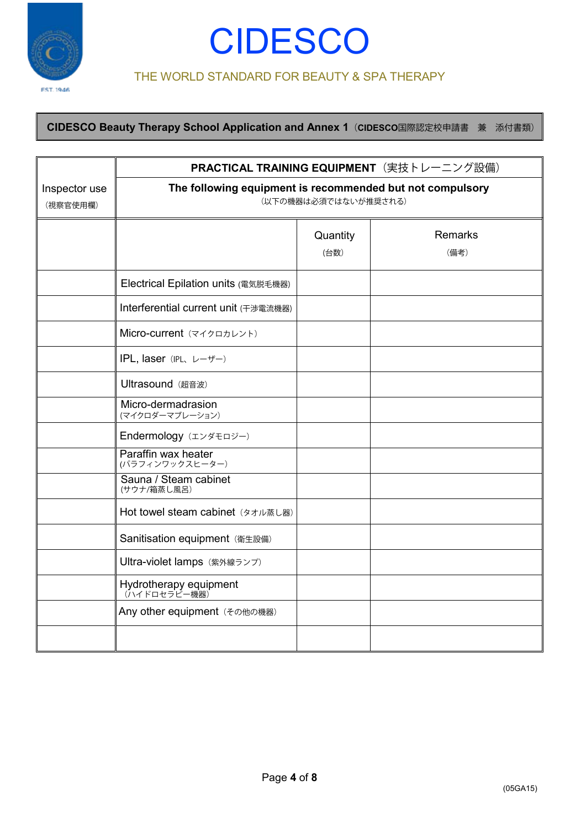

#### THE WORLD STANDARD FOR BEAUTY & SPA THERAPY

|                           | PRACTICAL TRAINING EQUIPMENT (実技トレーニング設備)                                         |                  |                        |  |
|---------------------------|-----------------------------------------------------------------------------------|------------------|------------------------|--|
| Inspector use<br>(視察官使用欄) | The following equipment is recommended but not compulsory<br>(以下の機器は必須ではないが推奨される) |                  |                        |  |
|                           |                                                                                   | Quantity<br>(台数) | <b>Remarks</b><br>(備考) |  |
|                           | Electrical Epilation units (電気脱毛機器)                                               |                  |                        |  |
|                           | Interferential current unit (干渉電流機器)                                              |                  |                        |  |
|                           | Micro-current (マイクロカレント)                                                          |                  |                        |  |
|                           | IPL, laser (IPL, レーザー)                                                            |                  |                        |  |
|                           | Ultrasound (超音波)                                                                  |                  |                        |  |
|                           | Micro-dermadrasion<br>(マイクロダーマブレーション)                                             |                  |                        |  |
|                           | Endermology (エンダモロジー)                                                             |                  |                        |  |
|                           | Paraffin wax heater<br>(パラフィンワックスヒーター)                                            |                  |                        |  |
|                           | Sauna / Steam cabinet<br>(サウナ/箱蒸し風呂)                                              |                  |                        |  |
|                           | Hot towel steam cabinet (タオル蒸し器)                                                  |                  |                        |  |
|                           | Sanitisation equipment (衛生設備)                                                     |                  |                        |  |
|                           | Ultra-violet lamps (紫外線ランプ)                                                       |                  |                        |  |
|                           | Hydrotherapy equipment                                                            |                  |                        |  |
|                           | Any other equipment (その他の機器)                                                      |                  |                        |  |
|                           |                                                                                   |                  |                        |  |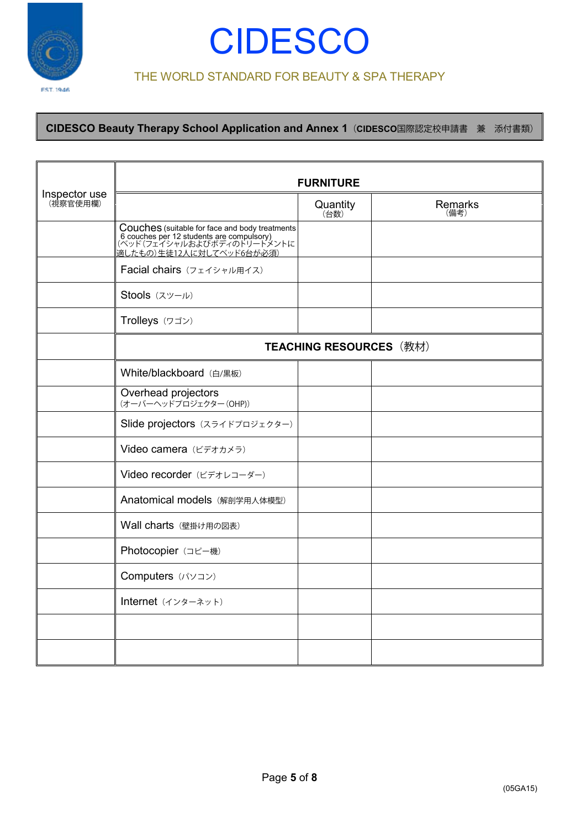

## **CIDESCO**

#### THE WORLD STANDARD FOR BEAUTY & SPA THERAPY

|                           | <b>FURNITURE</b>                                                                                                                                              |                  |                 |  |
|---------------------------|---------------------------------------------------------------------------------------------------------------------------------------------------------------|------------------|-----------------|--|
| Inspector use<br>(視察官使用欄) |                                                                                                                                                               | Quantity<br>(台数) | Remarks<br>(備考) |  |
|                           | <b>Couches</b> (suitable for face and body treatments<br>6 couches per 12 students are compulsory)<br>(ベッド (フェイシャルおよびボディのトリートメントに<br>適したもの)生徒12人に対してベッド6台が必須) |                  |                 |  |
|                           | Facial chairs (フェイシャル用イス)                                                                                                                                     |                  |                 |  |
|                           | Stools (スツール)                                                                                                                                                 |                  |                 |  |
|                           | Trolleys (ワゴン)                                                                                                                                                |                  |                 |  |
|                           | <b>TEACHING RESOURCES (教材)</b>                                                                                                                                |                  |                 |  |
|                           | White/blackboard (白/黒板)                                                                                                                                       |                  |                 |  |
|                           | Overhead projectors<br>(オーバーヘッドプロジェクター (OHP))                                                                                                                 |                  |                 |  |
|                           | Slide projectors (スライドプロジェクター)                                                                                                                                |                  |                 |  |
|                           | Video camera (ビデオカメラ)                                                                                                                                         |                  |                 |  |
|                           | Video recorder (ビデオレコーダー)                                                                                                                                     |                  |                 |  |
|                           | Anatomical models (解剖学用人体模型)                                                                                                                                  |                  |                 |  |
|                           | Wall charts (壁掛け用の図表)                                                                                                                                         |                  |                 |  |
|                           | Photocopier (コピー機)                                                                                                                                            |                  |                 |  |
|                           | Computers (パソコン)                                                                                                                                              |                  |                 |  |
|                           | Internet (インターネット)                                                                                                                                            |                  |                 |  |
|                           |                                                                                                                                                               |                  |                 |  |
|                           |                                                                                                                                                               |                  |                 |  |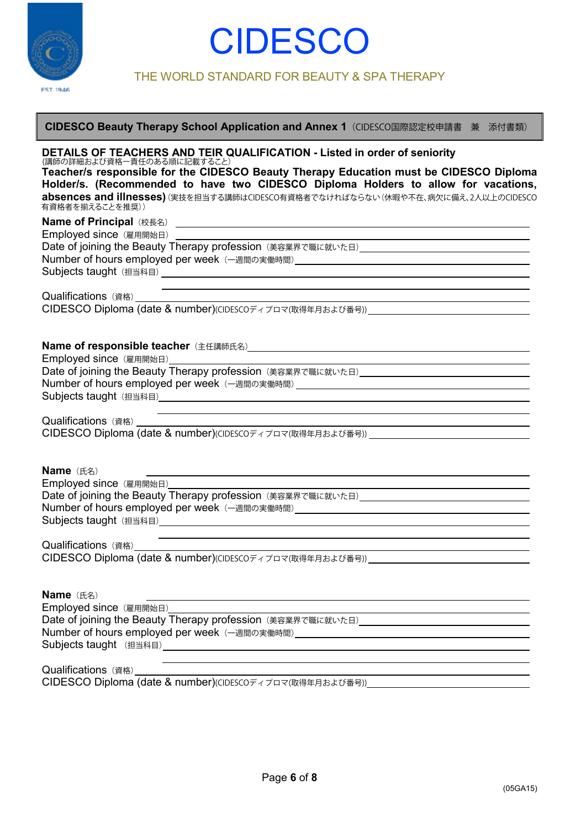

THE WORLD STANDARD FOR BEAUTY & SPA THERAPY

| DETAILS OF TEACHERS AND TEIR QUALIFICATION - Listed in order of seniority              |
|----------------------------------------------------------------------------------------|
| (講師の詳細および資格一責任のある順に記載すること)                                                             |
| Teacher/s responsible for the CIDESCO Beauty Therapy Education must be CIDESCO Diploma |
| TELECH (Research de Le Cole <b>AIRFAAA R</b> uisse Heilse (Cole Cole) (Co              |

**CIDESCO Beauty Therapy School Application and Annex 1**(CIDESCO国際認定校申請書 兼 添付書類)

**Holder/s. (Recommended to have two CIDESCO Diploma Holders to allow for vacations, absences and illnesses)** (実技を担当する講師はCIDESCO有資格者でなければならない(休暇や不在、病欠に備え、2人以上のCIDESCO 有資格者を揃えることを推奨))

| Employed since (雇用開始日)                                                                                                                                                                                                        |
|-------------------------------------------------------------------------------------------------------------------------------------------------------------------------------------------------------------------------------|
|                                                                                                                                                                                                                               |
| Number of hours employed per week (一週間の実働時間) ___________________________________                                                                                                                                              |
| Subjects taught (担当科目) Letter and the control of the control of the control of the control of the control of the control of the control of the control of the control of the control of the control of the control of the con |
| <u> 1989 - Johann Barbara, martxa eta batarra (h. 1989).</u>                                                                                                                                                                  |
| Qualifications (資格)                                                                                                                                                                                                           |
| CIDESCO Diploma (date & number)(CIDESCOディプロマ(取得年月および番号))                                                                                                                                                                      |
|                                                                                                                                                                                                                               |
|                                                                                                                                                                                                                               |
|                                                                                                                                                                                                                               |
|                                                                                                                                                                                                                               |
|                                                                                                                                                                                                                               |
| Number of hours employed per week (一週間の実働時間) ___________________________________                                                                                                                                              |
|                                                                                                                                                                                                                               |
| the control of the control of the control of the control of the control of the control of the control of the control of the control of the control of the control of the control of the control of the control of the control |
|                                                                                                                                                                                                                               |
|                                                                                                                                                                                                                               |
|                                                                                                                                                                                                                               |
|                                                                                                                                                                                                                               |
| <b>Name</b> (氏名)                                                                                                                                                                                                              |
| Employed since (雇用開始日)                                                                                                                                                                                                        |
|                                                                                                                                                                                                                               |
| Number of hours employed per week (一週間の実働時間) ___________________________________                                                                                                                                              |
|                                                                                                                                                                                                                               |
|                                                                                                                                                                                                                               |
|                                                                                                                                                                                                                               |
|                                                                                                                                                                                                                               |
|                                                                                                                                                                                                                               |
|                                                                                                                                                                                                                               |
| <b>Name</b> (氏名)                                                                                                                                                                                                              |
| Employed since (雇用開始日)                                                                                                                                                                                                        |
|                                                                                                                                                                                                                               |
| Number of hours employed per week (一週間の実働時間) ___________________________________                                                                                                                                              |
|                                                                                                                                                                                                                               |
|                                                                                                                                                                                                                               |
| Qualifications (資格)                                                                                                                                                                                                           |

CIDESCO Diploma (date & number)(CIDESCOディプロマ(取得年月および番号))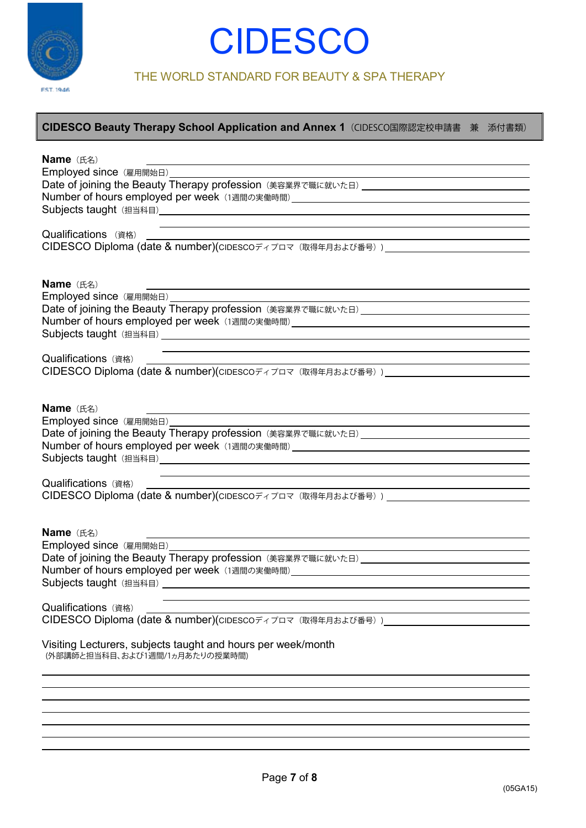

THE WORLD STANDARD FOR BEAUTY & SPA THERAPY

| <b>Name</b> (氏名)                                                                 |
|----------------------------------------------------------------------------------|
| Employed since (雇用開始日) <u>________________________________</u>                   |
|                                                                                  |
|                                                                                  |
|                                                                                  |
|                                                                                  |
| Qualifications (資格)                                                              |
|                                                                                  |
|                                                                                  |
| Name (氏名)                                                                        |
| Employed since (雇用開始日) _________                                                 |
|                                                                                  |
|                                                                                  |
|                                                                                  |
|                                                                                  |
| Qualifications (資格)                                                              |
| CIDESCO Diploma (date & number)(CIDESCOディプロマ (取得年月および番号))                        |
|                                                                                  |
|                                                                                  |
| Name (E4)                                                                        |
| Employed since (雇用開始日)_________                                                  |
|                                                                                  |
| Number of hours employed per week (1週間の実働時間) ___________________________________ |
|                                                                                  |
| <u> 1989 - Johann Stoff, amerikansk politiker (* 1908)</u>                       |
| Qualifications (資格)                                                              |
|                                                                                  |
|                                                                                  |
| <b>Name</b> (氏名)                                                                 |
| Employed since (雇用開始日) <u>________________</u>                                   |
|                                                                                  |
| Number of hours employed per week (1週間の実働時間)<br><sub>200</sub> 0                 |
|                                                                                  |
|                                                                                  |
| Qualifications (資格)                                                              |
| CIDESCO Diploma (date & number)(CIDESCOディプロマ (取得年月および番号))                        |
|                                                                                  |
| Visiting Lecturers, subjects taught and hours per week/month                     |
| (外部講師と担当科目、および1週間/1ヵ月あたりの授業時間)                                                   |
|                                                                                  |
|                                                                                  |
|                                                                                  |
|                                                                                  |
|                                                                                  |